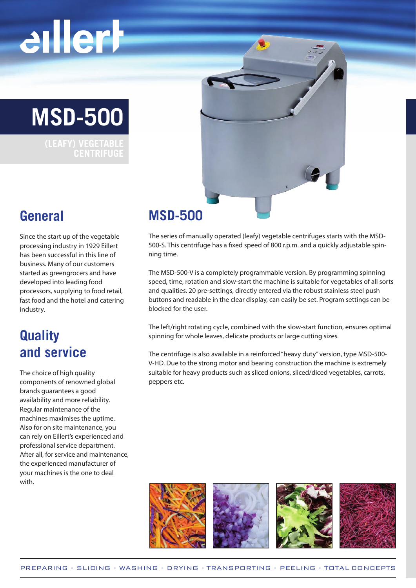# eillerh





#### **General**

Since the start up of the vegetable processing industry in 1929 Eillert has been successful in this line of business. Many of our customers started as greengrocers and have developed into leading food processors, supplying to food retail, fast food and the hotel and catering industry.

### **Quality and service**

The choice of high quality components of renowned global brands guarantees a good availability and more reliability. Regular maintenance of the machines maximises the uptime. Also for on site maintenance, you can rely on Eillert's experienced and professional service department. After all, for service and maintenance, the experienced manufacturer of your machines is the one to deal with.

### **MSD-500**

The series of manually operated (leafy) vegetable centrifuges starts with the MSD-500-S. This centrifuge has a fixed speed of 800 r.p.m. and a quickly adjustable spinning time.

The MSD-500-V is a completely programmable version. By programming spinning speed, time, rotation and slow-start the machine is suitable for vegetables of all sorts and qualities. 20 pre-settings, directly entered via the robust stainless steel push buttons and readable in the clear display, can easily be set. Program settings can be blocked for the user.

The left/right rotating cycle, combined with the slow-start function, ensures optimal spinning for whole leaves, delicate products or large cutting sizes.

The centrifuge is also available in a reinforced "heavy duty" version, type MSD-500- V-HD. Due to the strong motor and bearing construction the machine is extremely suitable for heavy products such as sliced onions, sliced/diced vegetables, carrots, peppers etc.